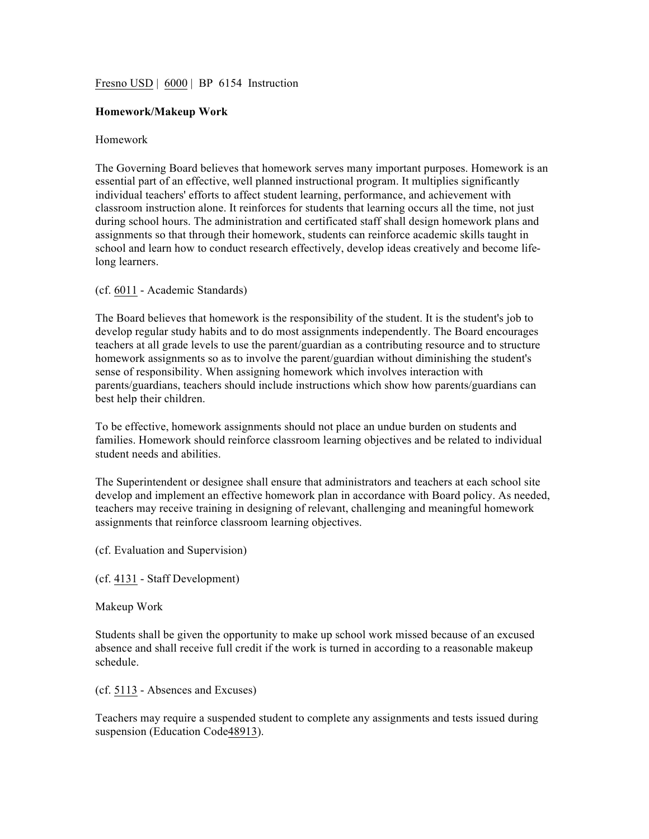## Fresno USD | 6000 | BP 6154 Instruction

## **Homework/Makeup Work**

## Homework

The Governing Board believes that homework serves many important purposes. Homework is an essential part of an effective, well planned instructional program. It multiplies significantly individual teachers' efforts to affect student learning, performance, and achievement with classroom instruction alone. It reinforces for students that learning occurs all the time, not just during school hours. The administration and certificated staff shall design homework plans and assignments so that through their homework, students can reinforce academic skills taught in school and learn how to conduct research effectively, develop ideas creatively and become lifelong learners.

## (cf. 6011 - Academic Standards)

The Board believes that homework is the responsibility of the student. It is the student's job to develop regular study habits and to do most assignments independently. The Board encourages teachers at all grade levels to use the parent/guardian as a contributing resource and to structure homework assignments so as to involve the parent/guardian without diminishing the student's sense of responsibility. When assigning homework which involves interaction with parents/guardians, teachers should include instructions which show how parents/guardians can best help their children.

To be effective, homework assignments should not place an undue burden on students and families. Homework should reinforce classroom learning objectives and be related to individual student needs and abilities.

The Superintendent or designee shall ensure that administrators and teachers at each school site develop and implement an effective homework plan in accordance with Board policy. As needed, teachers may receive training in designing of relevant, challenging and meaningful homework assignments that reinforce classroom learning objectives.

(cf. Evaluation and Supervision)

(cf. 4131 - Staff Development)

Makeup Work

Students shall be given the opportunity to make up school work missed because of an excused absence and shall receive full credit if the work is turned in according to a reasonable makeup schedule.

(cf. 5113 - Absences and Excuses)

Teachers may require a suspended student to complete any assignments and tests issued during suspension (Education Code48913).